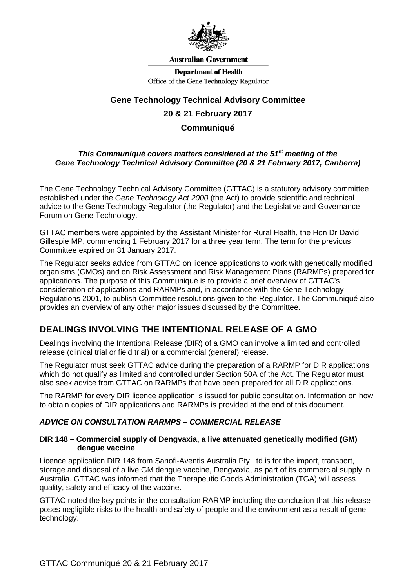

#### **Australian Government**

**Department of Health** Office of the Gene Technology Regulator

## **Gene Technology Technical Advisory Committee**

## **20 & 21 February 2017**

## **Communiqué**

#### *This Communiqué covers matters considered at the 51st meeting of the Gene Technology Technical Advisory Committee (20 & 21 February 2017, Canberra)*

The Gene Technology Technical Advisory Committee (GTTAC) is a statutory advisory committee established under the *Gene Technology Act 2000* (the Act) to provide scientific and technical advice to the Gene Technology Regulator (the Regulator) and the Legislative and Governance Forum on Gene Technology.

GTTAC members were appointed by the Assistant Minister for Rural Health, the Hon Dr David Gillespie MP, commencing 1 February 2017 for a three year term. The term for the previous Committee expired on 31 January 2017.

The Regulator seeks advice from GTTAC on licence applications to work with genetically modified organisms (GMOs) and on Risk Assessment and Risk Management Plans (RARMPs) prepared for applications. The purpose of this Communiqué is to provide a brief overview of GTTAC's consideration of applications and RARMPs and, in accordance with the Gene Technology Regulations 2001, to publish Committee resolutions given to the Regulator. The Communiqué also provides an overview of any other major issues discussed by the Committee.

## **DEALINGS INVOLVING THE INTENTIONAL RELEASE OF A GMO**

Dealings involving the Intentional Release (DIR) of a GMO can involve a limited and controlled release (clinical trial or field trial) or a commercial (general) release.

The Regulator must seek GTTAC advice during the preparation of a RARMP for DIR applications which do not qualify as limited and controlled under Section 50A of the Act. The Regulator must also seek advice from GTTAC on RARMPs that have been prepared for all DIR applications.

The RARMP for every DIR licence application is issued for public consultation. Information on how to obtain copies of DIR applications and RARMPs is provided at the end of this document.

## *ADVICE ON CONSULTATION RARMPS – COMMERCIAL RELEASE*

#### **DIR 148 – Commercial supply of Dengvaxia, a live attenuated genetically modified (GM) dengue vaccine**

Licence application DIR 148 from Sanofi-Aventis Australia Pty Ltd is for the import, transport, storage and disposal of a live GM dengue vaccine, Dengvaxia, as part of its commercial supply in Australia. GTTAC was informed that the Therapeutic Goods Administration (TGA) will assess quality, safety and efficacy of the vaccine.

GTTAC noted the key points in the consultation RARMP including the conclusion that this release poses negligible risks to the health and safety of people and the environment as a result of gene technology.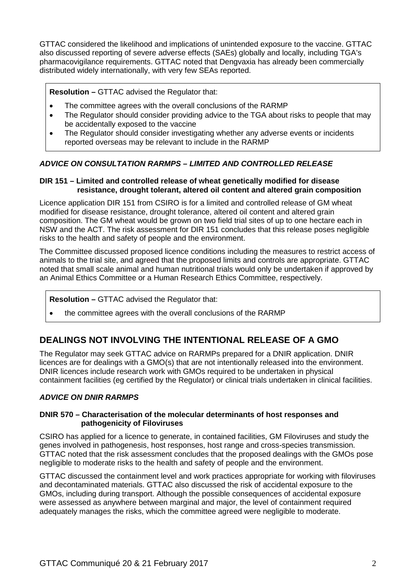GTTAC considered the likelihood and implications of unintended exposure to the vaccine. GTTAC also discussed reporting of severe adverse effects (SAEs) globally and locally, including TGA's pharmacovigilance requirements. GTTAC noted that Dengvaxia has already been commercially distributed widely internationally, with very few SEAs reported.

**Resolution –** GTTAC advised the Regulator that:

- The committee agrees with the overall conclusions of the RARMP
- The Regulator should consider providing advice to the TGA about risks to people that may be accidentally exposed to the vaccine
- The Regulator should consider investigating whether any adverse events or incidents reported overseas may be relevant to include in the RARMP

## *ADVICE ON CONSULTATION RARMPS – LIMITED AND CONTROLLED RELEASE*

## **DIR 151 – Limited and controlled release of wheat genetically modified for disease resistance, drought tolerant, altered oil content and altered grain composition**

Licence application DIR 151 from CSIRO is for a limited and controlled release of GM wheat modified for disease resistance, drought tolerance, altered oil content and altered grain composition. The GM wheat would be grown on two field trial sites of up to one hectare each in NSW and the ACT. The risk assessment for DIR 151 concludes that this release poses negligible risks to the health and safety of people and the environment.

The Committee discussed proposed licence conditions including the measures to restrict access of animals to the trial site, and agreed that the proposed limits and controls are appropriate. GTTAC noted that small scale animal and human nutritional trials would only be undertaken if approved by an Animal Ethics Committee or a Human Research Ethics Committee, respectively.

## **Resolution –** GTTAC advised the Regulator that:

• the committee agrees with the overall conclusions of the RARMP

# **DEALINGS NOT INVOLVING THE INTENTIONAL RELEASE OF A GMO**

The Regulator may seek GTTAC advice on RARMPs prepared for a DNIR application. DNIR licences are for dealings with a GMO(s) that are not intentionally released into the environment. DNIR licences include research work with GMOs required to be undertaken in physical containment facilities (eg certified by the Regulator) or clinical trials undertaken in clinical facilities.

## *ADVICE ON DNIR RARMPS*

## **DNIR 570 – Characterisation of the molecular determinants of host responses and pathogenicity of Filoviruses**

CSIRO has applied for a licence to generate, in contained facilities, GM Filoviruses and study the genes involved in pathogenesis, host responses, host range and cross-species transmission. GTTAC noted that the risk assessment concludes that the proposed dealings with the GMOs pose negligible to moderate risks to the health and safety of people and the environment.

GTTAC discussed the containment level and work practices appropriate for working with filoviruses and decontaminated materials. GTTAC also discussed the risk of accidental exposure to the GMOs, including during transport. Although the possible consequences of accidental exposure were assessed as anywhere between marginal and major, the level of containment required adequately manages the risks, which the committee agreed were negligible to moderate.